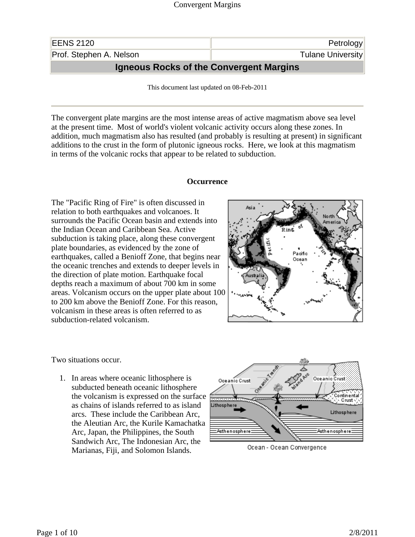| <b>EENS 2120</b>                               | Petrology                |
|------------------------------------------------|--------------------------|
| Prof. Stephen A. Nelson                        | <b>Tulane University</b> |
| <b>Igneous Rocks of the Convergent Margins</b> |                          |

This document last updated on 08-Feb-2011

The convergent plate margins are the most intense areas of active magmatism above sea level at the present time. Most of world's violent volcanic activity occurs along these zones. In addition, much magmatism also has resulted (and probably is resulting at present) in significant additions to the crust in the form of plutonic igneous rocks. Here, we look at this magmatism in terms of the volcanic rocks that appear to be related to subduction.

## **Occurrence**

The "Pacific Ring of Fire" is often discussed in relation to both earthquakes and volcanoes. It surrounds the Pacific Ocean basin and extends into the Indian Ocean and Caribbean Sea. Active subduction is taking place, along these convergent plate boundaries, as evidenced by the zone of earthquakes, called a Benioff Zone, that begins near the oceanic trenches and extends to deeper levels in the direction of plate motion. Earthquake focal depths reach a maximum of about 700 km in some areas. Volcanism occurs on the upper plate about 100 to 200 km above the Benioff Zone. For this reason, volcanism in these areas is often referred to as subduction-related volcanism.



Two situations occur.

1. In areas where oceanic lithosphere is subducted beneath oceanic lithosphere the volcanism is expressed on the surface as chains of islands referred to as island arcs. These include the Caribbean Arc, the Aleutian Arc, the Kurile Kamachatka Arc, Japan, the Philippines, the South Sandwich Arc, The Indonesian Arc, the Marianas, Fiji, and Solomon Islands.



Ocean - Ocean Convergence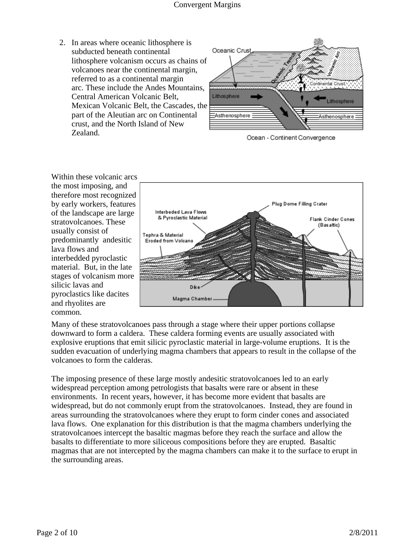2. In areas where oceanic lithosphere is subducted beneath continental lithosphere volcanism occurs as chains of volcanoes near the continental margin, referred to as a continental margin arc. These include the Andes Mountains, Central American Volcanic Belt, Mexican Volcanic Belt, the Cascades, the part of the Aleutian arc on Continental crust, and the North Island of New Zealand.



Ocean - Continent Convergence

Within these volcanic arcs the most imposing, and therefore most recognized by early workers, features of the landscape are large stratovolcanoes. These usually consist of predominantly andesitic lava flows and interbedded pyroclastic material. But, in the late stages of volcanism more silicic lavas and pyroclastics like dacites and rhyolites are common.



Many of these stratovolcanoes pass through a stage where their upper portions collapse downward to form a caldera. These caldera forming events are usually associated with explosive eruptions that emit silicic pyroclastic material in large-volume eruptions. It is the sudden evacuation of underlying magma chambers that appears to result in the collapse of the volcanoes to form the calderas.

The imposing presence of these large mostly andesitic stratovolcanoes led to an early widespread perception among petrologists that basalts were rare or absent in these environments. In recent years, however, it has become more evident that basalts are widespread, but do not commonly erupt from the stratovolcanoes. Instead, they are found in areas surrounding the stratovolcanoes where they erupt to form cinder cones and associated lava flows. One explanation for this distribution is that the magma chambers underlying the stratovolcanoes intercept the basaltic magmas before they reach the surface and allow the basalts to differentiate to more siliceous compositions before they are erupted. Basaltic magmas that are not intercepted by the magma chambers can make it to the surface to erupt in the surrounding areas.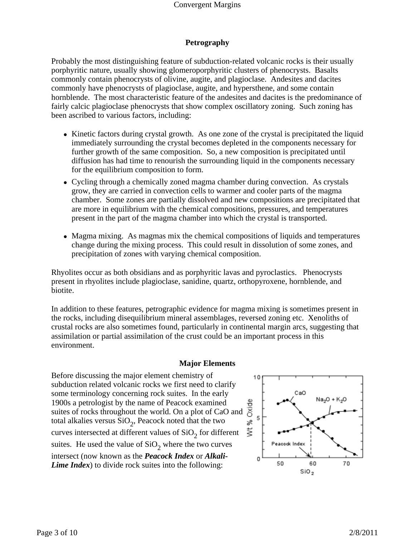# **Petrography**

Probably the most distinguishing feature of subduction-related volcanic rocks is their usually porphyritic nature, usually showing glomeroporphyritic clusters of phenocrysts. Basalts commonly contain phenocrysts of olivine, augite, and plagioclase. Andesites and dacites commonly have phenocrysts of plagioclase, augite, and hypersthene, and some contain hornblende. The most characteristic feature of the andesites and dacites is the predominance of fairly calcic plagioclase phenocrysts that show complex oscillatory zoning. Such zoning has been ascribed to various factors, including:

- Kinetic factors during crystal growth. As one zone of the crystal is precipitated the liquid immediately surrounding the crystal becomes depleted in the components necessary for further growth of the same composition. So, a new composition is precipitated until diffusion has had time to renourish the surrounding liquid in the components necessary for the equilibrium composition to form.
- Cycling through a chemically zoned magma chamber during convection. As crystals grow, they are carried in convection cells to warmer and cooler parts of the magma chamber. Some zones are partially dissolved and new compositions are precipitated that are more in equilibrium with the chemical compositions, pressures, and temperatures present in the part of the magma chamber into which the crystal is transported.
- Magma mixing. As magmas mix the chemical compositions of liquids and temperatures change during the mixing process. This could result in dissolution of some zones, and precipitation of zones with varying chemical composition.

Rhyolites occur as both obsidians and as porphyritic lavas and pyroclastics. Phenocrysts present in rhyolites include plagioclase, sanidine, quartz, orthopyroxene, hornblende, and biotite.

In addition to these features, petrographic evidence for magma mixing is sometimes present in the rocks, including disequilibrium mineral assemblages, reversed zoning etc. Xenoliths of crustal rocks are also sometimes found, particularly in continental margin arcs, suggesting that assimilation or partial assimilation of the crust could be an important process in this environment.

## **Major Elements**

Before discussing the major element chemistry of subduction related volcanic rocks we first need to clarify some terminology concerning rock suites. In the early 1900s a petrologist by the name of Peacock examined suites of rocks throughout the world. On a plot of CaO and total alkalies versus  $SiO<sub>2</sub>$ , Peacock noted that the two curves intersected at different values of  $SiO<sub>2</sub>$  for different suites. He used the value of  $SiO<sub>2</sub>$  where the two curves intersect (now known as the *Peacock Index* or *Alkali-Lime Index*) to divide rock suites into the following:

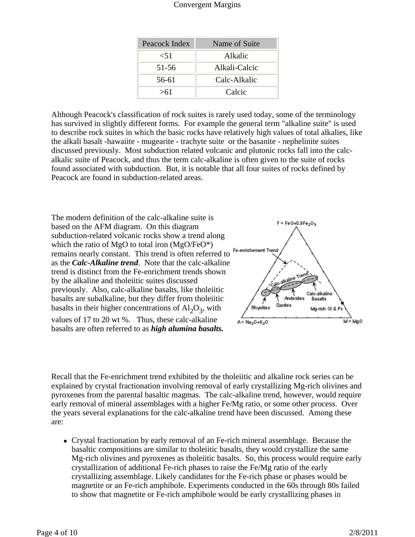| Peacock Index | Name of Suite |
|---------------|---------------|
| ${<}51$       | Alkalic       |
| $51 - 56$     | Alkali-Calcic |
| 56-61         | Calc-Alkalic  |
| >61           | Calcic        |

Although Peacock's classification of rock suites is rarely used today, some of the terminology has survived in slightly different forms. For example the general term "alkaline suite" is used to describe rock suites in which the basic rocks have relatively high values of total alkalies, like the alkali basalt -hawaiite - mugearite - trachyte suite or the basanite - nephelinite suites discussed previously. Most subduction related volcanic and plutonic rocks fall into the calcalkalic suite of Peacock, and thus the term calc-alkaline is often given to the suite of rocks found associated with subduction. But, it is notable that all four suites of rocks defined by Peacock are found in subduction-related areas.

The modern definition of the calc-alkaline suite is based on the AFM diagram. On this diagram subduction-related volcanic rocks show a trend along which the ratio of MgO to total iron  $(MgO/FeO^*)$ remains nearly constant. This trend is often referred to as the *Calc-Alkaline trend*. Note that the calc-alkaline trend is distinct from the Fe-enrichment trends shown by the alkaline and tholeiitic suites discussed previously. Also, calc-alkaline basalts, like tholeiitic basalts are subalkaline, but they differ from tholeiitic basalts in their higher concentrations of  $Al_2O_3$ , with

values of 17 to 20 wt %. Thus, these calc-alkaline basalts are often referred to as *high alumina basalts.*



Recall that the Fe-enrichment trend exhibited by the tholeiitic and alkaline rock series can be explained by crystal fractionation involving removal of early crystallizing Mg-rich olivines and pyroxenes from the parental basaltic magmas. The calc-alkaline trend, however, would require early removal of mineral assemblages with a higher Fe/Mg ratio, or some other process. Over the years several explanations for the calc-alkaline trend have been discussed. Among these are:

• Crystal fractionation by early removal of an Fe-rich mineral assemblage. Because the basaltic compositions are similar to tholeiitic basalts, they would crystallize the same Mg-rich olivines and pyroxenes as tholeiitic basalts. So, this process would require early crystallization of additional Fe-rich phases to raise the Fe/Mg ratio of the early crystallizing assemblage. Likely candidates for the Fe-rich phase or phases would be magnetite or an Fe-rich amphibole. Experiments conducted in the 60s through 80s failed to show that magnetite or Fe-rich amphibole would be early crystallizing phases in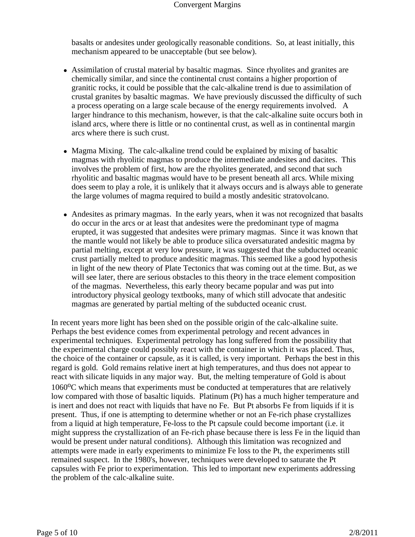basalts or andesites under geologically reasonable conditions. So, at least initially, this mechanism appeared to be unacceptable (but see below).

- Assimilation of crustal material by basaltic magmas. Since rhyolites and granites are chemically similar, and since the continental crust contains a higher proportion of granitic rocks, it could be possible that the calc-alkaline trend is due to assimilation of crustal granites by basaltic magmas. We have previously discussed the difficulty of such a process operating on a large scale because of the energy requirements involved. A larger hindrance to this mechanism, however, is that the calc-alkaline suite occurs both in island arcs, where there is little or no continental crust, as well as in continental margin arcs where there is such crust.
- Magma Mixing. The calc-alkaline trend could be explained by mixing of basaltic magmas with rhyolitic magmas to produce the intermediate andesites and dacites. This involves the problem of first, how are the rhyolites generated, and second that such rhyolitic and basaltic magmas would have to be present beneath all arcs. While mixing does seem to play a role, it is unlikely that it always occurs and is always able to generate the large volumes of magma required to build a mostly andesitic stratovolcano.
- Andesites as primary magmas. In the early years, when it was not recognized that basalts do occur in the arcs or at least that andesites were the predominant type of magma erupted, it was suggested that andesites were primary magmas. Since it was known that the mantle would not likely be able to produce silica oversaturated andesitic magma by partial melting, except at very low pressure, it was suggested that the subducted oceanic crust partially melted to produce andesitic magmas. This seemed like a good hypothesis in light of the new theory of Plate Tectonics that was coming out at the time. But, as we will see later, there are serious obstacles to this theory in the trace element composition of the magmas. Nevertheless, this early theory became popular and was put into introductory physical geology textbooks, many of which still advocate that andesitic magmas are generated by partial melting of the subducted oceanic crust.

In recent years more light has been shed on the possible origin of the calc-alkaline suite. Perhaps the best evidence comes from experimental petrology and recent advances in experimental techniques. Experimental petrology has long suffered from the possibility that the experimental charge could possibly react with the container in which it was placed. Thus, the choice of the container or capsule, as it is called, is very important. Perhaps the best in this regard is gold. Gold remains relative inert at high temperatures, and thus does not appear to react with silicate liquids in any major way. But, the melting temperature of Gold is about  $1060^{\circ}$ C which means that experiments must be conducted at temperatures that are relatively low compared with those of basaltic liquids. Platinum (Pt) has a much higher temperature and is inert and does not react with liquids that have no Fe. But Pt absorbs Fe from liquids if it is present. Thus, if one is attempting to determine whether or not an Fe-rich phase crystallizes from a liquid at high temperature, Fe-loss to the Pt capsule could become important (i.e. it might suppress the crystallization of an Fe-rich phase because there is less Fe in the liquid than would be present under natural conditions). Although this limitation was recognized and attempts were made in early experiments to minimize Fe loss to the Pt, the experiments still remained suspect. In the 1980's, however, techniques were developed to saturate the Pt capsules with Fe prior to experimentation. This led to important new experiments addressing the problem of the calc-alkaline suite.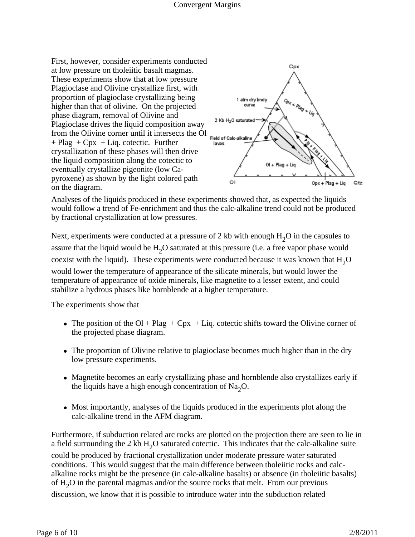First, however, consider experiments conducted at low pressure on tholeiitic basalt magmas. These experiments show that at low pressure Plagioclase and Olivine crystallize first, with proportion of plagioclase crystallizing being higher than that of olivine. On the projected phase diagram, removal of Olivine and Plagioclase drives the liquid composition away from the Olivine corner until it intersects the Ol  $+$  Plag  $+$  Cpx  $+$  Liq. cotectic. Further layas crystallization of these phases will then drive the liquid composition along the cotectic to eventually crystallize pigeonite (low Capyroxene) as shown by the light colored path on the diagram.



Analyses of the liquids produced in these experiments showed that, as expected the liquids would follow a trend of Fe-enrichment and thus the calc-alkaline trend could not be produced by fractional crystallization at low pressures.

Next, experiments were conducted at a pressure of 2 kb with enough  $H_2O$  in the capsules to assure that the liquid would be  $H_2O$  saturated at this pressure (i.e. a free vapor phase would coexist with the liquid). These experiments were conducted because it was known that  $H_2O$ would lower the temperature of appearance of the silicate minerals, but would lower the temperature of appearance of oxide minerals, like magnetite to a lesser extent, and could stabilize a hydrous phases like hornblende at a higher temperature.

The experiments show that

- The position of the Ol + Plag + Cpx + Liq. cotectic shifts toward the Olivine corner of the projected phase diagram.
- The proportion of Olivine relative to plagioclase becomes much higher than in the dry low pressure experiments.
- Magnetite becomes an early crystallizing phase and hornblende also crystallizes early if the liquids have a high enough concentration of  $\text{Na}_2\text{O}$ .
- Most importantly, analyses of the liquids produced in the experiments plot along the calc-alkaline trend in the AFM diagram.

Furthermore, if subduction related arc rocks are plotted on the projection there are seen to lie in a field surrounding the 2 kb  $H_2O$  saturated cotectic. This indicates that the calc-alkaline suite could be produced by fractional crystallization under moderate pressure water saturated conditions. This would suggest that the main difference between tholeiitic rocks and calcalkaline rocks might be the presence (in calc-alkaline basalts) or absence (in tholeiitic basalts) of  $H<sub>2</sub>O$  in the parental magmas and/or the source rocks that melt. From our previous

discussion, we know that it is possible to introduce water into the subduction related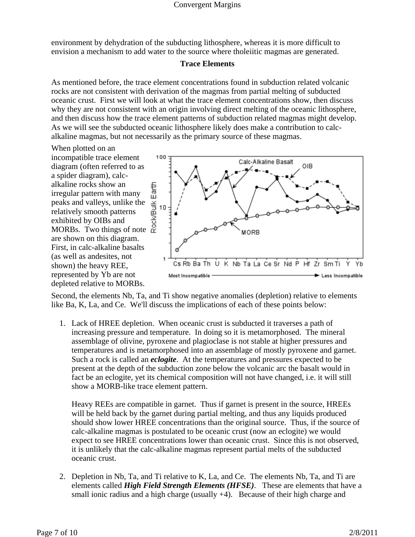environment by dehydration of the subducting lithosphere, whereas it is more difficult to envision a mechanism to add water to the source where tholeiitic magmas are generated.

## **Trace Elements**

As mentioned before, the trace element concentrations found in subduction related volcanic rocks are not consistent with derivation of the magmas from partial melting of subducted oceanic crust. First we will look at what the trace element concentrations show, then discuss why they are not consistent with an origin involving direct melting of the oceanic lithosphere, and then discuss how the trace element patterns of subduction related magmas might develop. As we will see the subducted oceanic lithosphere likely does make a contribution to calcalkaline magmas, but not necessarily as the primary source of these magmas.

When plotted on an incompatible trace element diagram (often referred to as a spider diagram), calcalkaline rocks show an irregular pattern with many peaks and valleys, unlike the relatively smooth patterns exhibited by OIBs and MORBs.Two things of note are shown on this diagram. First, in calc-alkaline basalts (as well as andesites, not shown) the heavy REE, represented by Yb are not depleted relative to MORBs.



Second, the elements Nb, Ta, and Ti show negative anomalies (depletion) relative to elements like Ba, K, La, and Ce. We'll discuss the implications of each of these points below:

1. Lack of HREE depletion. When oceanic crust is subducted it traverses a path of increasing pressure and temperature. In doing so it is metamorphosed. The mineral assemblage of olivine, pyroxene and plagioclase is not stable at higher pressures and temperatures and is metamorphosed into an assemblage of mostly pyroxene and garnet. Such a rock is called an *eclogite*. At the temperatures and pressures expected to be present at the depth of the subduction zone below the volcanic arc the basalt would in fact be an eclogite, yet its chemical composition will not have changed, i.e. it will still show a MORB-like trace element pattern.

Heavy REEs are compatible in garnet. Thus if garnet is present in the source, HREEs will be held back by the garnet during partial melting, and thus any liquids produced should show lower HREE concentrations than the original source. Thus, if the source of calc-alkaline magmas is postulated to be oceanic crust (now an eclogite) we would expect to see HREE concentrations lower than oceanic crust. Since this is not observed, it is unlikely that the calc-alkaline magmas represent partial melts of the subducted oceanic crust.

2. Depletion in Nb, Ta, and Ti relative to K, La, and Ce. The elements Nb, Ta, and Ti are elements called *High Field Strength Elements (HFSE)*. These are elements that have a small ionic radius and a high charge (usually +4). Because of their high charge and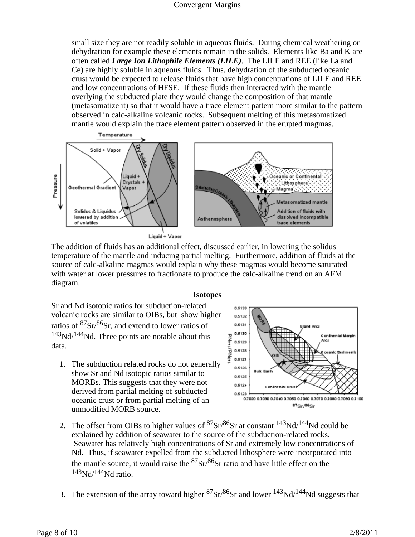small size they are not readily soluble in aqueous fluids. During chemical weathering or dehydration for example these elements remain in the solids. Elements like Ba and K are often called *Large Ion Lithophile Elements (LILE)*. The LILE and REE (like La and Ce) are highly soluble in aqueous fluids. Thus, dehydration of the subducted oceanic crust would be expected to release fluids that have high concentrations of LILE and REE and low concentrations of HFSE. If these fluids then interacted with the mantle overlying the subducted plate they would change the composition of that mantle (metasomatize it) so that it would have a trace element pattern more similar to the pattern observed in calc-alkaline volcanic rocks. Subsequent melting of this metasomatized mantle would explain the trace element pattern observed in the erupted magmas.



Liquid + Vapor

The addition of fluids has an additional effect, discussed earlier, in lowering the solidus temperature of the mantle and inducing partial melting. Furthermore, addition of fluids at the source of calc-alkaline magmas would explain why these magmas would become saturated with water at lower pressures to fractionate to produce the calc-alkaline trend on an AFM diagram.

#### **Isotopes**

Sr and Nd isotopic ratios for subduction-related volcanic rocks are similar to OIBs, but show higher ratios of  $87\text{Sr}/86\text{Sr}$ , and extend to lower ratios of  $143\text{Nd}/144\text{Nd}$ . Three points are notable about this data.

1. The subduction related rocks do not generally show Sr and Nd isotopic ratios similar to MORBs. This suggests that they were not derived from partial melting of subducted oceanic crust or from partial melting of an unmodified MORB source.



- 2. The offset from OIBs to higher values of  ${}^{87}Sr/{}^{86}Sr$  at constant  ${}^{143}Nd/{}^{144}Nd$  could be explained by addition of seawater to the source of the subduction-related rocks. Seawater has relatively high concentrations of Sr and extremely low concentrations of Nd. Thus, if seawater expelled from the subducted lithosphere were incorporated into the mantle source, it would raise the  ${}^{87}Sr/{}^{86}Sr$  ratio and have little effect on the  $143$ Nd/ $144$ Nd ratio.
- 3. The extension of the array toward higher  ${}^{87}Sr/{}^{86}Sr$  and lower  ${}^{143}Nd/{}^{144}Nd$  suggests that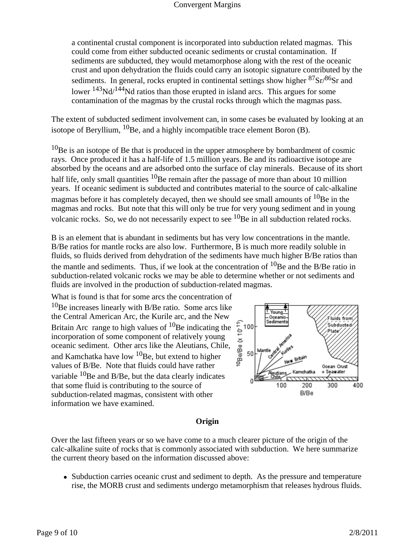a continental crustal component is incorporated into subduction related magmas. This could come from either subducted oceanic sediments or crustal contamination. If sediments are subducted, they would metamorphose along with the rest of the oceanic crust and upon dehydration the fluids could carry an isotopic signature contributed by the sediments. In general, rocks erupted in continental settings show higher  $87\text{Sr}/86\text{Sr}$  and lower  $143\text{Nd}/144\text{Nd}$  ratios than those erupted in island arcs. This argues for some contamination of the magmas by the crustal rocks through which the magmas pass.

The extent of subducted sediment involvement can, in some cases be evaluated by looking at an isotope of Beryllium,  ${}^{10}$ Be, and a highly incompatible trace element Boron (B).

 $10$ Be is an isotope of Be that is produced in the upper atmosphere by bombardment of cosmic rays. Once produced it has a half-life of 1.5 million years. Be and its radioactive isotope are absorbed by the oceans and are adsorbed onto the surface of clay minerals. Because of its short half life, only small quantities  ${}^{10}$ Be remain after the passage of more than about 10 million years. If oceanic sediment is subducted and contributes material to the source of calc-alkaline magmas before it has completely decayed, then we should see small amounts of  $^{10}$ Be in the magmas and rocks. But note that this will only be true for very young sediment and in young volcanic rocks. So, we do not necessarily expect to see  ${}^{10}$ Be in all subduction related rocks.

B is an element that is abundant in sediments but has very low concentrations in the mantle. B/Be ratios for mantle rocks are also low. Furthermore, B is much more readily soluble in fluids, so fluids derived from dehydration of the sediments have much higher B/Be ratios than the mantle and sediments. Thus, if we look at the concentration of  $^{10}$ Be and the B/Be ratio in subduction-related volcanic rocks we may be able to determine whether or not sediments and fluids are involved in the production of subduction-related magmas.

What is found is that for some arcs the concentration of  $10B$ e increases linearly with B/Be ratio. Some arcs like the Central American Arc, the Kurile arc, and the New Britain Arc range to high values of  ${}^{10}$ Be indicating the incorporation of some component of relatively young oceanic sediment. Other arcs like the Aleutians, Chile, and Kamchatka have low  ${}^{10}$ Be, but extend to higher values of B/Be. Note that fluids could have rather variable  $^{10}$ Be and B/Be, but the data clearly indicates that some fluid is contributing to the source of subduction-related magmas, consistent with other information we have examined.



## **Origin**

Over the last fifteen years or so we have come to a much clearer picture of the origin of the calc-alkaline suite of rocks that is commonly associated with subduction. We here summarize the current theory based on the information discussed above:

• Subduction carries oceanic crust and sediment to depth. As the pressure and temperature rise, the MORB crust and sediments undergo metamorphism that releases hydrous fluids.